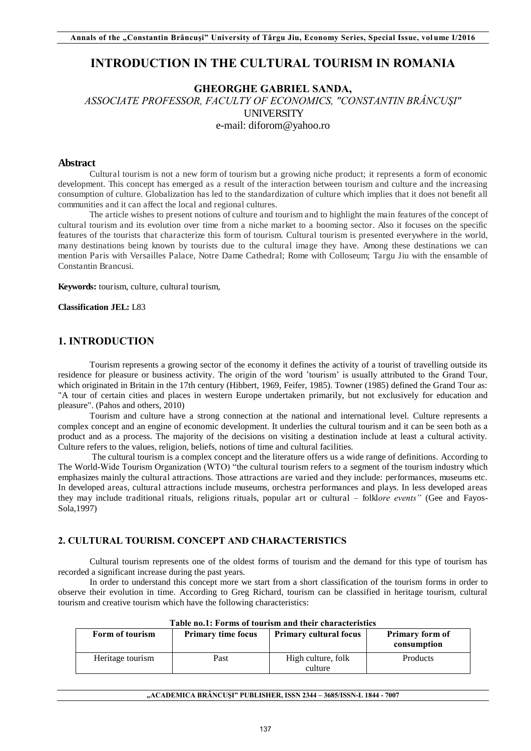# **INTRODUCTION IN THE CULTURAL TOURISM IN ROMANIA**

# **GHEORGHE GABRIEL SANDA,**

*ASSOCIATE PROFESSOR, FACULTY OF ECONOMICS, "CONSTANTIN BRÂNCUŞI"*  UNIVERSITY e-mail: diforom@yahoo.ro

#### **Abstract**

Cultural tourism is not a new form of tourism but a growing niche product; it represents a form of economic development. This concept has emerged as a result of the interaction between tourism and culture and the increasing consumption of culture. Globalization has led to the standardization of culture which implies that it does not benefit all communities and it can affect the local and regional cultures.

The article wishes to present notions of culture and tourism and to highlight the main features of the concept of cultural tourism and its evolution over time from a niche market to a booming sector. Also it focuses on the specific features of the tourists that characterize this form of tourism. Cultural tourism is presented everywhere in the world, many destinations being known by tourists due to the cultural image they have. Among these destinations we can mention Paris with Versailles Palace, Notre Dame Cathedral; Rome with Colloseum; Targu Jiu with the ensamble of Constantin Brancusi.

**Keywords:** tourism, culture, cultural tourism,

**Classification JEL:** L83

## **1. INTRODUCTION**

Tourism represents a growing sector of the economy it defines the activity of a tourist of travelling outside its residence for pleasure or business activity. The origin of the word 'tourism' is usually attributed to the Grand Tour, which originated in Britain in the 17th century (Hibbert, 1969, Feifer, 1985). Towner (1985) defined the Grand Tour as: "A tour of certain cities and places in western Europe undertaken primarily, but not exclusively for education and pleasure". (Pahos and others, 2010)

Tourism and culture have a strong connection at the national and international level. Culture represents a complex concept and an engine of economic development. It underlies the cultural tourism and it can be seen both as a product and as a process. The majority of the decisions on visiting a destination include at least a cultural activity. Culture refers to the values, religion, beliefs, notions of time and cultural facilities.

 The cultural tourism is a complex concept and the literature offers us a wide range of definitions. According to The World-Wide Tourism Organization (WTO) "the cultural tourism refers to a segment of the tourism industry which emphasizes mainly the cultural attractions. Those attractions are varied and they include: performances, museums etc. In developed areas, cultural attractions include museums, orchestra performances and plays. In less developed areas they may include traditional rituals, religions rituals, popular art or cultural *–* folkl*ore events"* (Gee and Fayos-Sola,1997)

#### **2. CULTURAL TOURISM. CONCEPT AND CHARACTERISTICS**

Cultural tourism represents one of the oldest forms of tourism and the demand for this type of tourism has recorded a significant increase during the past years.

In order to understand this concept more we start from a short classification of the tourism forms in order to observe their evolution in time. According to Greg Richard, tourism can be classified in heritage tourism, cultural tourism and creative tourism which have the following characteristics:

| Table no.1: Forms of tourism and their characteristics |                           |                               |                                       |  |  |  |
|--------------------------------------------------------|---------------------------|-------------------------------|---------------------------------------|--|--|--|
| Form of tourism                                        | <b>Primary time focus</b> | <b>Primary cultural focus</b> | <b>Primary form of</b><br>consumption |  |  |  |
| Heritage tourism                                       | Past                      | High culture, folk<br>culture | <b>Products</b>                       |  |  |  |

**Table no.1: Forms of tourism and their characteristics**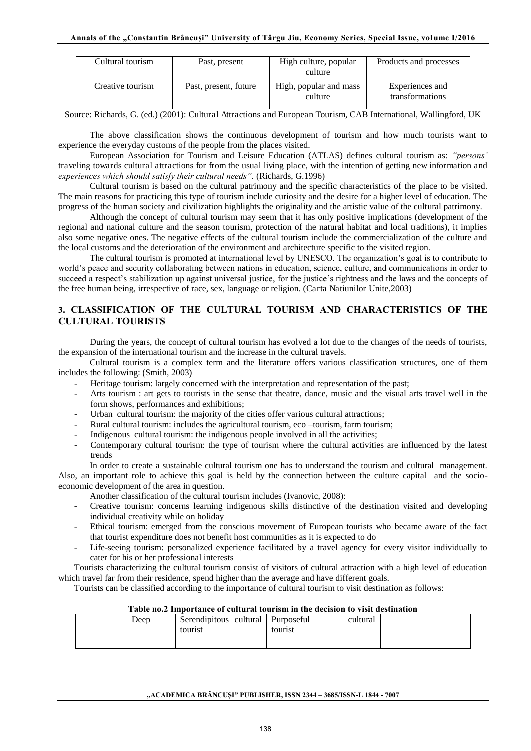#### **Annals of the "Constantin Brâncuşi" University of Târgu Jiu, Economy Series, Special Issue, vol ume I/2016**

| Cultural tourism | Past, present         | High culture, popular<br>culture  | Products and processes             |
|------------------|-----------------------|-----------------------------------|------------------------------------|
| Creative tourism | Past, present, future | High, popular and mass<br>culture | Experiences and<br>transformations |

Source: Richards, G. (ed.) (2001): Cultural Attractions and European Tourism, CAB International, Wallingford, UK

The above classification shows the continuous development of tourism and how much tourists want to experience the everyday customs of the people from the places visited.

European Association for Tourism and Leisure Education (ATLAS) defines cultural tourism as: *"persons'*  traveling towards cultural attractions for from the usual living place, with the intention of getting new information and *experiences which should satisfy their cultural needs".* (Richards, G.1996)

Cultural tourism is based on the cultural patrimony and the specific characteristics of the place to be visited. The main reasons for practicing this type of tourism include curiosity and the desire for a higher level of education. The progress of the human society and civilization highlights the originality and the artistic value of the cultural patrimony.

Although the concept of cultural tourism may seem that it has only positive implications (development of the regional and national culture and the season tourism, protection of the natural habitat and local traditions), it implies also some negative ones. The negative effects of the cultural tourism include the commercialization of the culture and the local customs and the deterioration of the environment and architecture specific to the visited region.

The cultural tourism is promoted at international level by UNESCO. The organization's goal is to contribute to world's peace and security collaborating between nations in education, science, culture, and communications in order to succeed a respect's stabilization up against universal justice, for the justice's rightness and the laws and the concepts of the free human being, irrespective of race, sex, language or religion. (Carta Natiunilor Unite,2003)

#### **3. CLASSIFICATION OF THE CULTURAL TOURISM AND CHARACTERISTICS OF THE CULTURAL TOURISTS**

During the years, the concept of cultural tourism has evolved a lot due to the changes of the needs of tourists, the expansion of the international tourism and the increase in the cultural travels.

Cultural tourism is a complex term and the literature offers various classification structures, one of them includes the following: (Smith, 2003)

- Heritage tourism: largely concerned with the interpretation and representation of the past;
- Arts tourism : art gets to tourists in the sense that theatre, dance, music and the visual arts travel well in the form shows, performances and exhibitions;
- Urban cultural tourism: the majority of the cities offer various cultural attractions;
- Rural cultural tourism: includes the agricultural tourism, eco -tourism, farm tourism;
- Indigenous cultural tourism: the indigenous people involved in all the activities;
- Contemporary cultural tourism: the type of tourism where the cultural activities are influenced by the latest trends

In order to create a sustainable cultural tourism one has to understand the tourism and cultural management. Also, an important role to achieve this goal is held by the connection between the culture capital and the socioeconomic development of the area in question.

- Another classification of the cultural tourism includes (Ivanovic, 2008):
- Creative tourism: concerns learning indigenous skills distinctive of the destination visited and developing individual creativity while on holiday
- Ethical tourism: emerged from the conscious movement of European tourists who became aware of the fact that tourist expenditure does not benefit host communities as it is expected to do
- Life-seeing tourism: personalized experience facilitated by a travel agency for every visitor individually to cater for his or her professional interests

Tourists characterizing the cultural tourism consist of visitors of cultural attraction with a high level of education which travel far from their residence, spend higher than the average and have different goals.

Tourists can be classified according to the importance of cultural tourism to visit destination as follows:

| Table no.2 Thibortance of cultural tourism in the decision to visit destination |                                   |          |  |  |  |  |
|---------------------------------------------------------------------------------|-----------------------------------|----------|--|--|--|--|
| Deep                                                                            | Serendipitous cultural Purposeful | cultural |  |  |  |  |
|                                                                                 | tourist                           | tourist  |  |  |  |  |
|                                                                                 |                                   |          |  |  |  |  |
|                                                                                 |                                   |          |  |  |  |  |

## **Table no.2 Importance of cultural tourism in the decision to visit destination**

#### **"ACADEMICA BRÂNCUŞI" PUBLISHER, ISSN 2344 – 3685/ISSN-L 1844 - 7007**